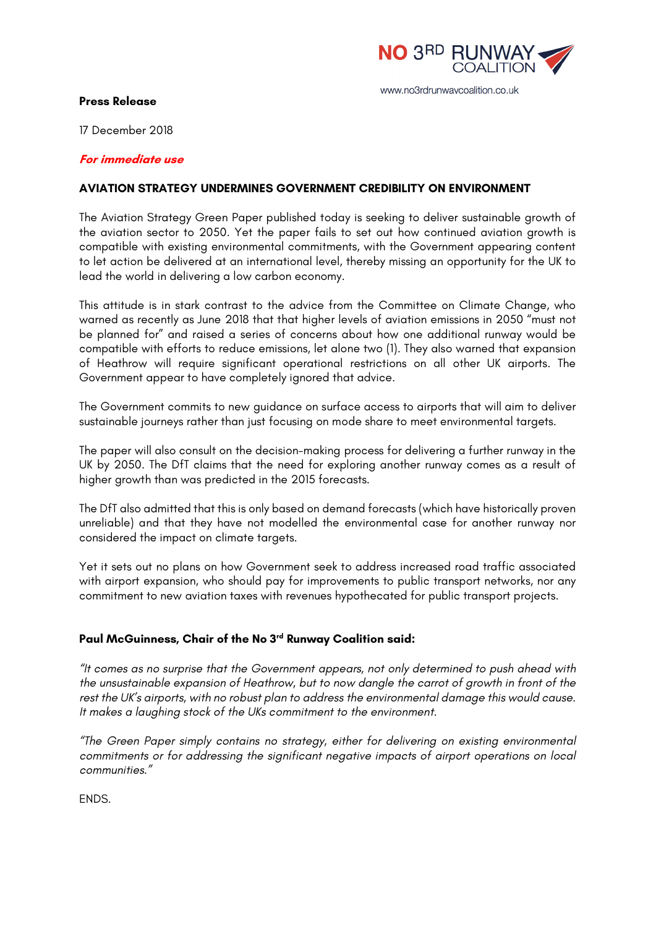

## **Press Release**

17 December 2018

## **For immediate use**

## **AVIATION STRATEGY UNDERMINES GOVERNMENT CREDIBILITY ON ENVIRONMENT**

The Aviation Strategy Green Paper published today is seeking to deliver sustainable growth of the aviation sector to 2050. Yet the paper fails to set out how continued aviation growth is compatible with existing environmental commitments, with the Government appearing content to let action be delivered at an international level, thereby missing an opportunity for the UK to lead the world in delivering a low carbon economy.

This attitude is in stark contrast to the advice from the Committee on Climate Change, who warned as recently as June 2018 that that higher levels of aviation emissions in 2050 "must not be planned for" and raised a series of concerns about how one additional runway would be compatible with efforts to reduce emissions, let alone two (1). They also warned that expansion of Heathrow will require significant operational restrictions on all other UK airports. The Government appear to have completely ignored that advice.

The Government commits to new guidance on surface access to airports that will aim to deliver sustainable journeys rather than just focusing on mode share to meet environmental targets.

The paper will also consult on the decision-making process for delivering a further runway in the UK by 2050. The DfT claims that the need for exploring another runway comes as a result of higher growth than was predicted in the 2015 forecasts.

The DfT also admitted that this is only based on demand forecasts (which have historically proven unreliable) and that they have not modelled the environmental case for another runway nor considered the impact on climate targets.

Yet it sets out no plans on how Government seek to address increased road traffic associated with airport expansion, who should pay for improvements to public transport networks, nor any commitment to new aviation taxes with revenues hypothecated for public transport projects.

## **Paul McGuinness, Chair of the No 3rd Runway Coalition said:**

*"It comes as no surprise that the Government appears, not only determined to push ahead with the unsustainable expansion of Heathrow, but to now dangle the carrot of growth in front of the rest the UK's airports, with no robust plan to address the environmental damage this would cause. It makes a laughing stock of the UKs commitment to the environment.*

*"The Green Paper simply contains no strategy, either for delivering on existing environmental commitments or for addressing the significant negative impacts of airport operations on local communities."* 

ENDS.